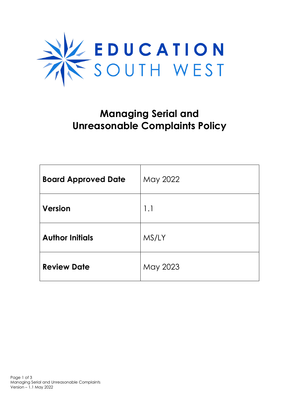

## **Managing Serial and Unreasonable Complaints Policy**

| <b>Board Approved Date</b> | May 2022 |
|----------------------------|----------|
| <b>Version</b>             | 1.1      |
| <b>Author Initials</b>     | MS/LY    |
| <b>Review Date</b>         | May 2023 |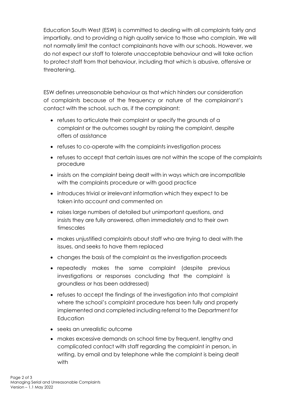Education South West (ESW) is committed to dealing with all complaints fairly and impartially, and to providing a high quality service to those who complain. We will not normally limit the contact complainants have with our schools. However, we do not expect our staff to tolerate unacceptable behaviour and will take action to protect staff from that behaviour, including that which is abusive, offensive or threatening.

ESW defines unreasonable behaviour as that which hinders our consideration of complaints because of the frequency or nature of the complainant's contact with the school, such as, if the complainant:

- refuses to articulate their complaint or specify the grounds of a complaint or the outcomes sought by raising the complaint, despite offers of assistance
- refuses to co-operate with the complaints investigation process
- refuses to accept that certain issues are not within the scope of the complaints procedure
- insists on the complaint being dealt with in ways which are incompatible with the complaints procedure or with good practice
- introduces trivial or irrelevant information which they expect to be taken into account and commented on
- raises large numbers of detailed but unimportant questions, and insists they are fully answered, often immediately and to their own timescales
- makes unjustified complaints about staff who are trying to deal with the issues, and seeks to have them replaced
- changes the basis of the complaint as the investigation proceeds
- repeatedly makes the same complaint (despite previous investigations or responses concluding that the complaint is groundless or has been addressed)
- refuses to accept the findings of the investigation into that complaint where the school's complaint procedure has been fully and properly implemented and completed including referral to the Department for **Education**
- seeks an unrealistic outcome
- makes excessive demands on school time by frequent, lengthy and complicated contact with staff regarding the complaint in person, in writing, by email and by telephone while the complaint is being dealt with